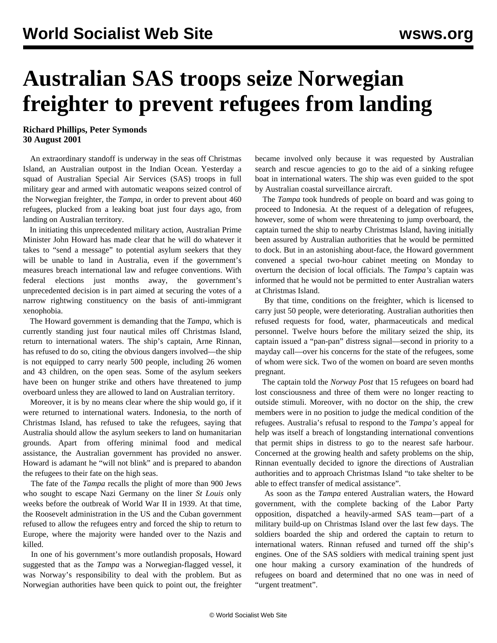## **Australian SAS troops seize Norwegian freighter to prevent refugees from landing**

**Richard Phillips, Peter Symonds 30 August 2001**

 An extraordinary standoff is underway in the seas off Christmas Island, an Australian outpost in the Indian Ocean. Yesterday a squad of Australian Special Air Services (SAS) troops in full military gear and armed with automatic weapons seized control of the Norwegian freighter, the *Tampa*, in order to prevent about 460 refugees, plucked from a leaking boat just four days ago, from landing on Australian territory.

 In initiating this unprecedented military action, Australian Prime Minister John Howard has made clear that he will do whatever it takes to "send a message" to potential asylum seekers that they will be unable to land in Australia, even if the government's measures breach international law and refugee conventions. With federal elections just months away, the government's unprecedented decision is in part aimed at securing the votes of a narrow rightwing constituency on the basis of anti-immigrant xenophobia.

 The Howard government is demanding that the *Tampa*, which is currently standing just four nautical miles off Christmas Island, return to international waters. The ship's captain, Arne Rinnan, has refused to do so, citing the obvious dangers involved—the ship is not equipped to carry nearly 500 people, including 26 women and 43 children, on the open seas. Some of the asylum seekers have been on hunger strike and others have threatened to jump overboard unless they are allowed to land on Australian territory.

 Moreover, it is by no means clear where the ship would go, if it were returned to international waters. Indonesia, to the north of Christmas Island, has refused to take the refugees, saying that Australia should allow the asylum seekers to land on humanitarian grounds. Apart from offering minimal food and medical assistance, the Australian government has provided no answer. Howard is adamant he "will not blink" and is prepared to abandon the refugees to their fate on the high seas.

 The fate of the *Tampa* recalls the plight of more than 900 Jews who sought to escape Nazi Germany on the liner *St Louis* only weeks before the outbreak of World War II in 1939. At that time, the Roosevelt administration in the US and the Cuban government refused to allow the refugees entry and forced the ship to return to Europe, where the majority were handed over to the Nazis and killed.

 In one of his government's more outlandish proposals, Howard suggested that as the *Tampa* was a Norwegian-flagged vessel, it was Norway's responsibility to deal with the problem. But as Norwegian authorities have been quick to point out, the freighter became involved only because it was requested by Australian search and rescue agencies to go to the aid of a sinking refugee boat in international waters. The ship was even guided to the spot by Australian coastal surveillance aircraft.

 The *Tampa* took hundreds of people on board and was going to proceed to Indonesia. At the request of a delegation of refugees, however, some of whom were threatening to jump overboard, the captain turned the ship to nearby Christmas Island, having initially been assured by Australian authorities that he would be permitted to dock. But in an astonishing about-face, the Howard government convened a special two-hour cabinet meeting on Monday to overturn the decision of local officials. The *Tampa's* captain was informed that he would not be permitted to enter Australian waters at Christmas Island.

 By that time, conditions on the freighter, which is licensed to carry just 50 people, were deteriorating. Australian authorities then refused requests for food, water, pharmaceuticals and medical personnel. Twelve hours before the military seized the ship, its captain issued a "pan-pan" distress signal—second in priority to a mayday call—over his concerns for the state of the refugees, some of whom were sick. Two of the women on board are seven months pregnant.

 The captain told the *Norway Post* that 15 refugees on board had lost consciousness and three of them were no longer reacting to outside stimuli. Moreover, with no doctor on the ship, the crew members were in no position to judge the medical condition of the refugees. Australia's refusal to respond to the *Tampa's* appeal for help was itself a breach of longstanding international conventions that permit ships in distress to go to the nearest safe harbour. Concerned at the growing health and safety problems on the ship, Rinnan eventually decided to ignore the directions of Australian authorities and to approach Christmas Island "to take shelter to be able to effect transfer of medical assistance".

 As soon as the *Tampa* entered Australian waters, the Howard government, with the complete backing of the Labor Party opposition, dispatched a heavily-armed SAS team—part of a military build-up on Christmas Island over the last few days. The soldiers boarded the ship and ordered the captain to return to international waters. Rinnan refused and turned off the ship's engines. One of the SAS soldiers with medical training spent just one hour making a cursory examination of the hundreds of refugees on board and determined that no one was in need of "urgent treatment".